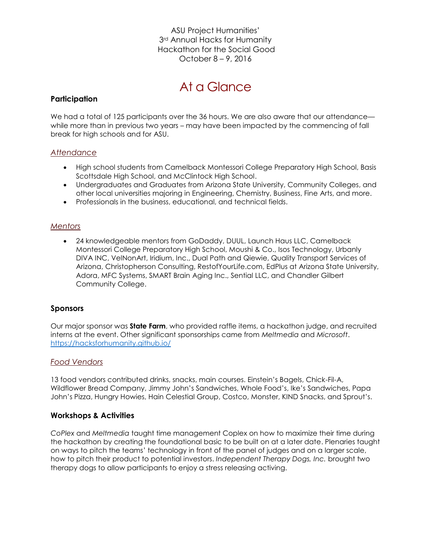ASU Project Humanities' 3<sup>rd</sup> Annual Hacks for Humanity Hackathon for the Social Good October 8 – 9, 2016

# At a Glance

## **Participation**

We had a total of 125 participants over the 36 hours. We are also aware that our attendance while more than in previous two years – may have been impacted by the commencing of fall break for high schools and for ASU.

## *Attendance*

- High school students from Camelback Montessori College Preparatory High School, Basis Scottsdale High School, and McClintock High School.
- Undergraduates and Graduates from Arizona State University, Community Colleges, and other local universities majoring in Engineering, Chemistry, Business, Fine Arts, and more.
- Professionals in the business, educational, and technical fields.

## *Mentors*

 24 knowledgeable mentors from GoDaddy, DUUL, Launch Haus LLC, Camelback Montessori College Preparatory High School, Moushi & Co., Isos Technology, Urbanly DIVA INC, VelNonArt, Iridium, Inc., Dual Path and Qiewie, Quality Transport Services of Arizona, Christopherson Consulting, RestofYourLife.com, EdPlus at Arizona State University, Adora, MFC Systems, SMART Brain Aging Inc., Sential LLC, and Chandler Gilbert Community College.

## **Sponsors**

Our major sponsor was **State Farm**, who provided raffle items, a hackathon judge, and recruited interns at the event. Other significant sponsorships came from *Meltmedia* and *Microsoft*. <https://hacksforhumanity.github.io/>

### *Food Vendors*

13 food vendors contributed drinks, snacks, main courses. Einstein's Bagels, Chick-Fil-A, Wildflower Bread Company, Jimmy John's Sandwiches, Whole Food's, Ike's Sandwiches, Papa John's Pizza, Hungry Howies, Hain Celestial Group, Costco, Monster, KIND Snacks, and Sprout's.

## **Workshops & Activities**

*CoPlex* and *Meltmedia* taught time management Coplex on how to maximize their time during the hackathon by creating the foundational basic to be built on at a later date. Plenaries taught on ways to pitch the teams' technology in front of the panel of judges and on a larger scale, how to pitch their product to potential investors. *Independent Therapy Dogs, Inc.* brought two therapy dogs to allow participants to enjoy a stress releasing activing.